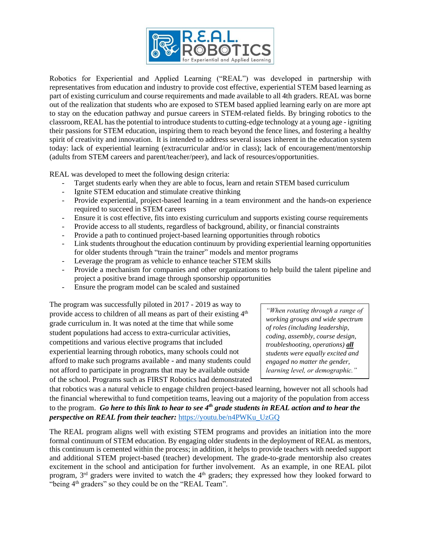

Robotics for Experiential and Applied Learning ("REAL") was developed in partnership with representatives from education and industry to provide cost effective, experiential STEM based learning as part of existing curriculum and course requirements and made available to all 4th graders. REAL was borne out of the realization that students who are exposed to STEM based applied learning early on are more apt to stay on the education pathway and pursue careers in STEM-related fields. By bringing robotics to the classroom, REAL has the potential to introduce students to cutting-edge technology at a young age - igniting their passions for STEM education, inspiring them to reach beyond the fence lines, and fostering a healthy spirit of creativity and innovation. It is intended to address several issues inherent in the education system today: lack of experiential learning (extracurricular and/or in class); lack of encouragement/mentorship (adults from STEM careers and parent/teacher/peer), and lack of resources/opportunities.

REAL was developed to meet the following design criteria:

- Target students early when they are able to focus, learn and retain STEM based curriculum
- Ignite STEM education and stimulate creative thinking
- Provide experiential, project-based learning in a team environment and the hands-on experience required to succeed in STEM careers
- Ensure it is cost effective, fits into existing curriculum and supports existing course requirements
- Provide access to all students, regardless of background, ability, or financial constraints
- Provide a path to continued project-based learning opportunities through robotics
- Link students throughout the education continuum by providing experiential learning opportunities for older students through "train the trainer" models and mentor programs
- Leverage the program as vehicle to enhance teacher STEM skills
- Provide a mechanism for companies and other organizations to help build the talent pipeline and project a positive brand image through sponsorship opportunities
- Ensure the program model can be scaled and sustained

The program was successfully piloted in 2017 - 2019 as way to provide access to children of all means as part of their existing  $4<sup>th</sup>$ grade curriculum in. It was noted at the time that while some student populations had access to extra-curricular activities, competitions and various elective programs that included experiential learning through robotics, many schools could not afford to make such programs available - and many students could not afford to participate in programs that may be available outside of the school. Programs such as FIRST Robotics had demonstrated

*"When rotating through a range of working groups and wide spectrum of roles (including leadership, coding, assembly, course design, troubleshooting, operations) all students were equally excited and engaged no matter the gender, learning level, or demographic."*

that robotics was a natural vehicle to engage children project-based learning, however not all schools had the financial wherewithal to fund competition teams, leaving out a majority of the population from access to the program. *Go here to this link to hear to see 4th grade students in REAL action and to hear the perspective on REAL from their teacher:* [https://youtu.be/n4PWKu\\_UzGQ](https://youtu.be/n4PWKu_UzGQ)

The REAL program aligns well with existing STEM programs and provides an initiation into the more formal continuum of STEM education. By engaging older students in the deployment of REAL as mentors, this continuum is cemented within the process; in addition, it helps to provide teachers with needed support and additional STEM project-based (teacher) development. The grade-to-grade mentorship also creates excitement in the school and anticipation for further involvement. As an example, in one REAL pilot program, 3<sup>rd</sup> graders were invited to watch the 4<sup>th</sup> graders; they expressed how they looked forward to "being 4<sup>th</sup> graders" so they could be on the "REAL Team".